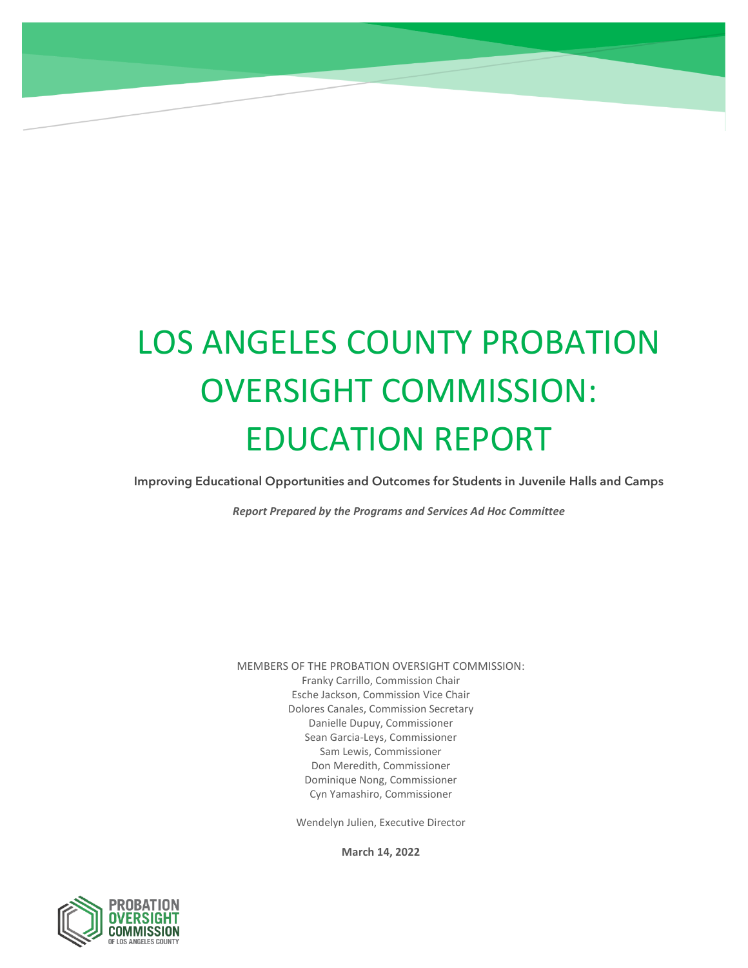# LOS ANGELES COUNTY PROBATION OVERSIGHT COMMISSION: EDUCATION REPORT

**Improving Educational Opportunities and Outcomes for Students in Juvenile Halls and Camps**

*Report Prepared by the Programs and Services Ad Hoc Committee*

MEMBERS OF THE PROBATION OVERSIGHT COMMISSION: Franky Carrillo, Commission Chair Esche Jackson, Commission Vice Chair Dolores Canales, Commission Secretary Danielle Dupuy, Commissioner Sean Garcia-Leys, Commissioner Sam Lewis, Commissioner Don Meredith, Commissioner Dominique Nong, Commissioner Cyn Yamashiro, Commissioner

Wendelyn Julien, Executive Director

**March 14, 2022**

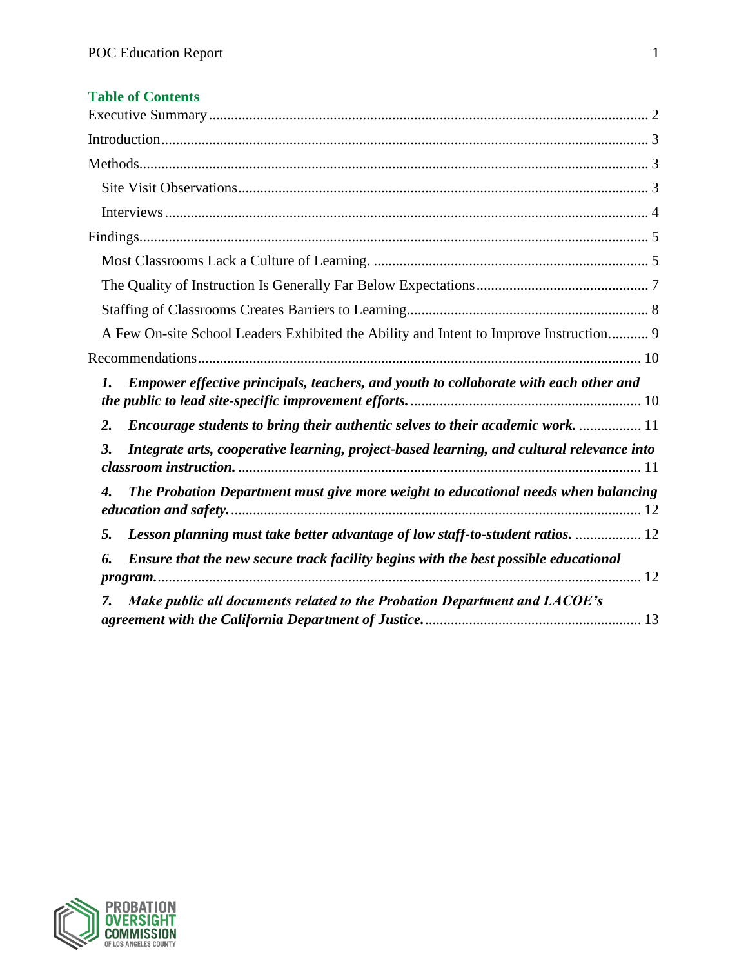| A Few On-site School Leaders Exhibited the Ability and Intent to Improve Instruction 9                   |  |
|----------------------------------------------------------------------------------------------------------|--|
|                                                                                                          |  |
| Empower effective principals, teachers, and youth to collaborate with each other and<br>1.               |  |
| Encourage students to bring their authentic selves to their academic work.  11<br>$\overline{2}$ .       |  |
| Integrate arts, cooperative learning, project-based learning, and cultural relevance into<br>3.          |  |
| The Probation Department must give more weight to educational needs when balancing<br>$\boldsymbol{4}$ . |  |
| Lesson planning must take better advantage of low staff-to-student ratios.  12<br>5.                     |  |
| Ensure that the new secure track facility begins with the best possible educational<br>6.                |  |
| Make public all documents related to the Probation Department and LACOE's<br>7.                          |  |

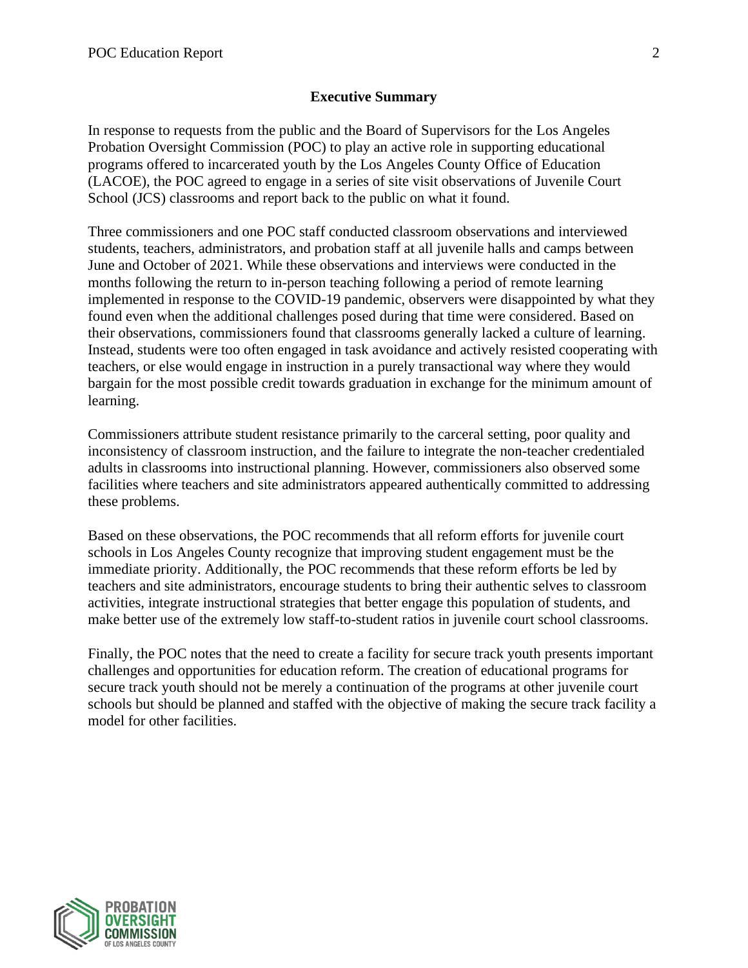# **Executive Summary**

<span id="page-2-0"></span>In response to requests from the public and the Board of Supervisors for the Los Angeles Probation Oversight Commission (POC) to play an active role in supporting educational programs offered to incarcerated youth by the Los Angeles County Office of Education (LACOE), the POC agreed to engage in a series of site visit observations of Juvenile Court School (JCS) classrooms and report back to the public on what it found.

Three commissioners and one POC staff conducted classroom observations and interviewed students, teachers, administrators, and probation staff at all juvenile halls and camps between June and October of 2021. While these observations and interviews were conducted in the months following the return to in-person teaching following a period of remote learning implemented in response to the COVID-19 pandemic, observers were disappointed by what they found even when the additional challenges posed during that time were considered. Based on their observations, commissioners found that classrooms generally lacked a culture of learning. Instead, students were too often engaged in task avoidance and actively resisted cooperating with teachers, or else would engage in instruction in a purely transactional way where they would bargain for the most possible credit towards graduation in exchange for the minimum amount of learning.

Commissioners attribute student resistance primarily to the carceral setting, poor quality and inconsistency of classroom instruction, and the failure to integrate the non-teacher credentialed adults in classrooms into instructional planning. However, commissioners also observed some facilities where teachers and site administrators appeared authentically committed to addressing these problems.

Based on these observations, the POC recommends that all reform efforts for juvenile court schools in Los Angeles County recognize that improving student engagement must be the immediate priority. Additionally, the POC recommends that these reform efforts be led by teachers and site administrators, encourage students to bring their authentic selves to classroom activities, integrate instructional strategies that better engage this population of students, and make better use of the extremely low staff-to-student ratios in juvenile court school classrooms.

Finally, the POC notes that the need to create a facility for secure track youth presents important challenges and opportunities for education reform. The creation of educational programs for secure track youth should not be merely a continuation of the programs at other juvenile court schools but should be planned and staffed with the objective of making the secure track facility a model for other facilities.

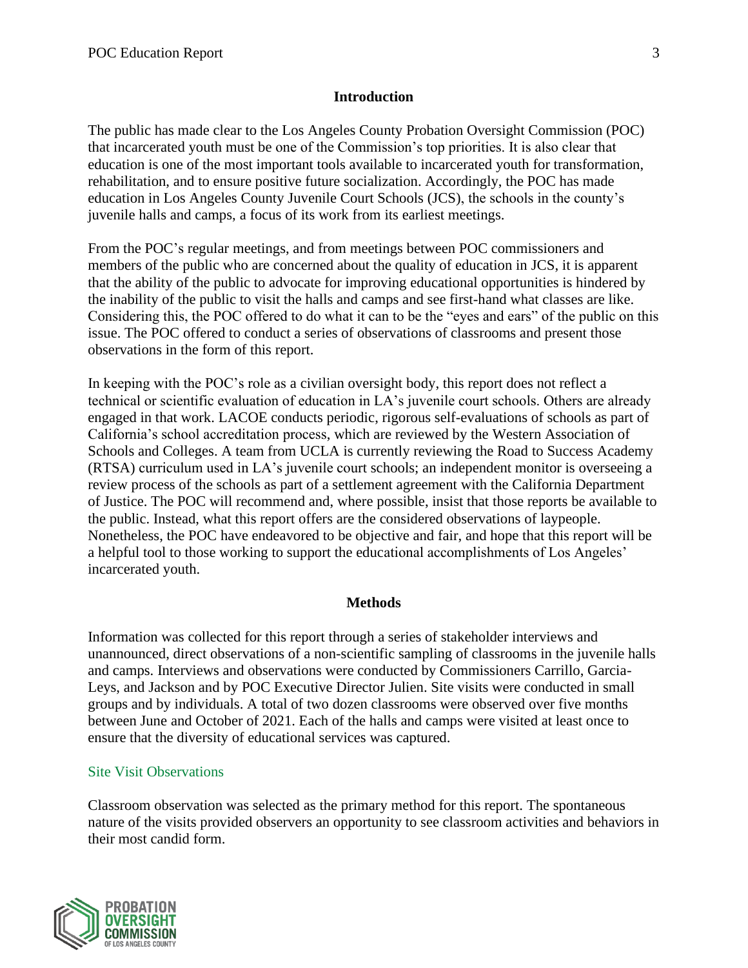## **Introduction**

<span id="page-3-0"></span>The public has made clear to the Los Angeles County Probation Oversight Commission (POC) that incarcerated youth must be one of the Commission's top priorities. It is also clear that education is one of the most important tools available to incarcerated youth for transformation, rehabilitation, and to ensure positive future socialization. Accordingly, the POC has made education in Los Angeles County Juvenile Court Schools (JCS), the schools in the county's juvenile halls and camps, a focus of its work from its earliest meetings.

From the POC's regular meetings, and from meetings between POC commissioners and members of the public who are concerned about the quality of education in JCS, it is apparent that the ability of the public to advocate for improving educational opportunities is hindered by the inability of the public to visit the halls and camps and see first-hand what classes are like. Considering this, the POC offered to do what it can to be the "eyes and ears" of the public on this issue. The POC offered to conduct a series of observations of classrooms and present those observations in the form of this report.

In keeping with the POC's role as a civilian oversight body, this report does not reflect a technical or scientific evaluation of education in LA's juvenile court schools. Others are already engaged in that work. LACOE conducts periodic, rigorous self-evaluations of schools as part of California's school accreditation process, which are reviewed by the Western Association of Schools and Colleges. A team from UCLA is currently reviewing the Road to Success Academy (RTSA) curriculum used in LA's juvenile court schools; an independent monitor is overseeing a review process of the schools as part of a settlement agreement with the California Department of Justice. The POC will recommend and, where possible, insist that those reports be available to the public. Instead, what this report offers are the considered observations of laypeople. Nonetheless, the POC have endeavored to be objective and fair, and hope that this report will be a helpful tool to those working to support the educational accomplishments of Los Angeles' incarcerated youth.

### **Methods**

<span id="page-3-1"></span>Information was collected for this report through a series of stakeholder interviews and unannounced, direct observations of a non-scientific sampling of classrooms in the juvenile halls and camps. Interviews and observations were conducted by Commissioners Carrillo, Garcia-Leys, and Jackson and by POC Executive Director Julien. Site visits were conducted in small groups and by individuals. A total of two dozen classrooms were observed over five months between June and October of 2021. Each of the halls and camps were visited at least once to ensure that the diversity of educational services was captured.

### <span id="page-3-2"></span>Site Visit Observations

Classroom observation was selected as the primary method for this report. The spontaneous nature of the visits provided observers an opportunity to see classroom activities and behaviors in their most candid form.

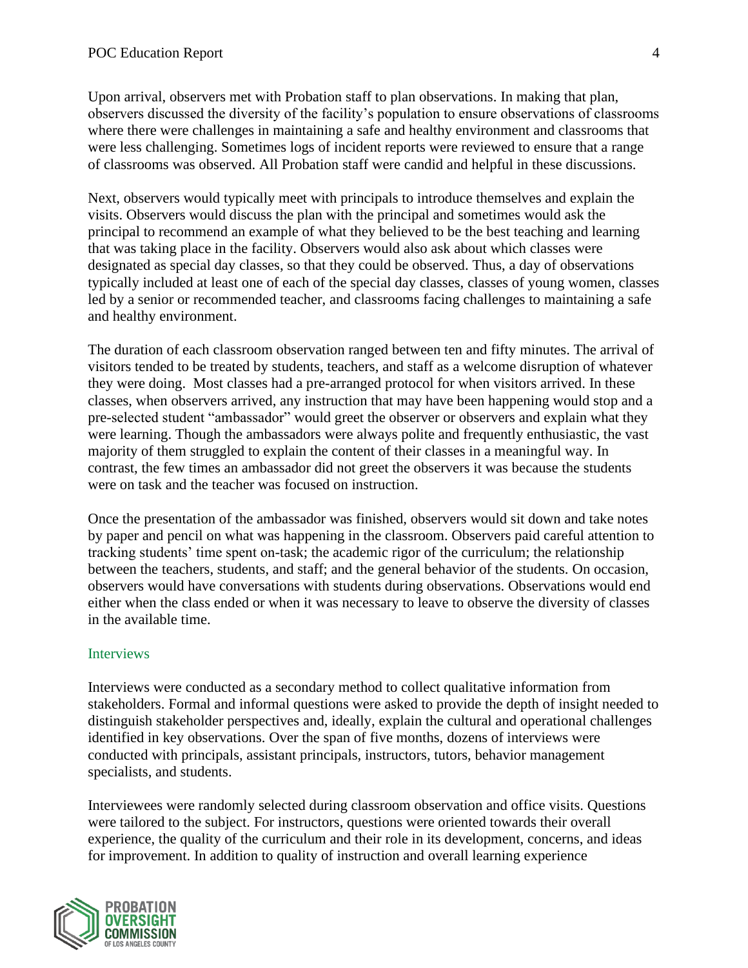Upon arrival, observers met with Probation staff to plan observations. In making that plan, observers discussed the diversity of the facility's population to ensure observations of classrooms where there were challenges in maintaining a safe and healthy environment and classrooms that were less challenging. Sometimes logs of incident reports were reviewed to ensure that a range of classrooms was observed. All Probation staff were candid and helpful in these discussions.

Next, observers would typically meet with principals to introduce themselves and explain the visits. Observers would discuss the plan with the principal and sometimes would ask the principal to recommend an example of what they believed to be the best teaching and learning that was taking place in the facility. Observers would also ask about which classes were designated as special day classes, so that they could be observed. Thus, a day of observations typically included at least one of each of the special day classes, classes of young women, classes led by a senior or recommended teacher, and classrooms facing challenges to maintaining a safe and healthy environment.

The duration of each classroom observation ranged between ten and fifty minutes. The arrival of visitors tended to be treated by students, teachers, and staff as a welcome disruption of whatever they were doing. Most classes had a pre-arranged protocol for when visitors arrived. In these classes, when observers arrived, any instruction that may have been happening would stop and a pre-selected student "ambassador" would greet the observer or observers and explain what they were learning. Though the ambassadors were always polite and frequently enthusiastic, the vast majority of them struggled to explain the content of their classes in a meaningful way. In contrast, the few times an ambassador did not greet the observers it was because the students were on task and the teacher was focused on instruction.

Once the presentation of the ambassador was finished, observers would sit down and take notes by paper and pencil on what was happening in the classroom. Observers paid careful attention to tracking students' time spent on-task; the academic rigor of the curriculum; the relationship between the teachers, students, and staff; and the general behavior of the students. On occasion, observers would have conversations with students during observations. Observations would end either when the class ended or when it was necessary to leave to observe the diversity of classes in the available time.

### <span id="page-4-0"></span>Interviews

Interviews were conducted as a secondary method to collect qualitative information from stakeholders. Formal and informal questions were asked to provide the depth of insight needed to distinguish stakeholder perspectives and, ideally, explain the cultural and operational challenges identified in key observations. Over the span of five months, dozens of interviews were conducted with principals, assistant principals, instructors, tutors, behavior management specialists, and students.

Interviewees were randomly selected during classroom observation and office visits. Questions were tailored to the subject. For instructors, questions were oriented towards their overall experience, the quality of the curriculum and their role in its development, concerns, and ideas for improvement. In addition to quality of instruction and overall learning experience

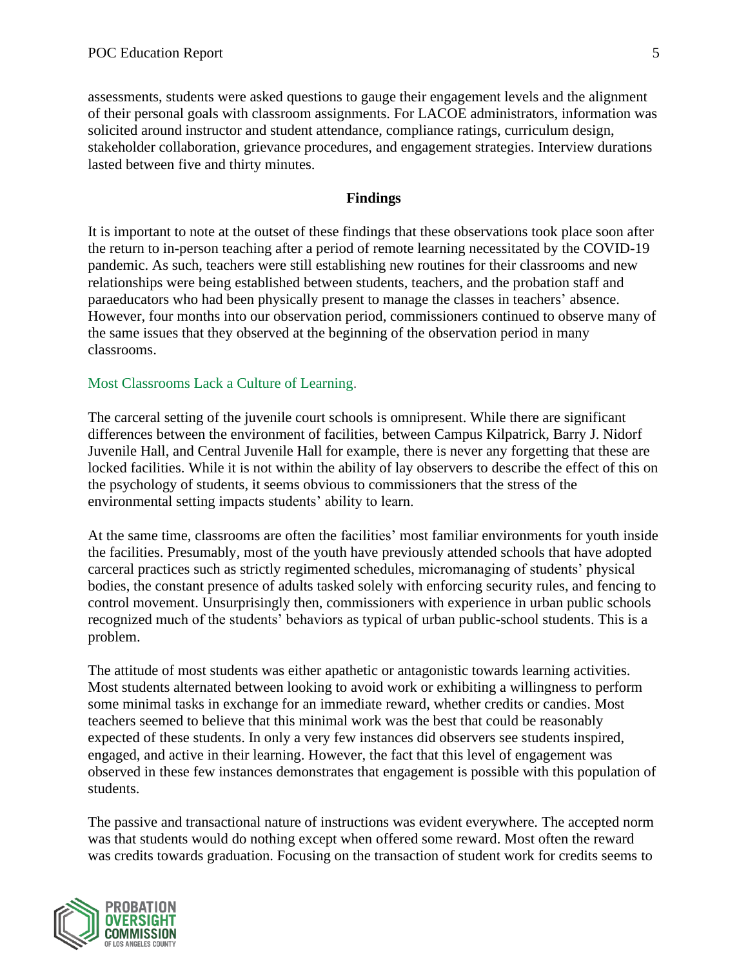assessments, students were asked questions to gauge their engagement levels and the alignment of their personal goals with classroom assignments. For LACOE administrators, information was solicited around instructor and student attendance, compliance ratings, curriculum design, stakeholder collaboration, grievance procedures, and engagement strategies. Interview durations lasted between five and thirty minutes.

#### **Findings**

<span id="page-5-0"></span>It is important to note at the outset of these findings that these observations took place soon after the return to in-person teaching after a period of remote learning necessitated by the COVID-19 pandemic. As such, teachers were still establishing new routines for their classrooms and new relationships were being established between students, teachers, and the probation staff and paraeducators who had been physically present to manage the classes in teachers' absence. However, four months into our observation period, commissioners continued to observe many of the same issues that they observed at the beginning of the observation period in many classrooms.

### <span id="page-5-1"></span>Most Classrooms Lack a Culture of Learning.

The carceral setting of the juvenile court schools is omnipresent. While there are significant differences between the environment of facilities, between Campus Kilpatrick, Barry J. Nidorf Juvenile Hall, and Central Juvenile Hall for example, there is never any forgetting that these are locked facilities. While it is not within the ability of lay observers to describe the effect of this on the psychology of students, it seems obvious to commissioners that the stress of the environmental setting impacts students' ability to learn.

At the same time, classrooms are often the facilities' most familiar environments for youth inside the facilities. Presumably, most of the youth have previously attended schools that have adopted carceral practices such as strictly regimented schedules, micromanaging of students' physical bodies, the constant presence of adults tasked solely with enforcing security rules, and fencing to control movement. Unsurprisingly then, commissioners with experience in urban public schools recognized much of the students' behaviors as typical of urban public-school students. This is a problem.

The attitude of most students was either apathetic or antagonistic towards learning activities. Most students alternated between looking to avoid work or exhibiting a willingness to perform some minimal tasks in exchange for an immediate reward, whether credits or candies. Most teachers seemed to believe that this minimal work was the best that could be reasonably expected of these students. In only a very few instances did observers see students inspired, engaged, and active in their learning. However, the fact that this level of engagement was observed in these few instances demonstrates that engagement is possible with this population of students.

The passive and transactional nature of instructions was evident everywhere. The accepted norm was that students would do nothing except when offered some reward. Most often the reward was credits towards graduation. Focusing on the transaction of student work for credits seems to

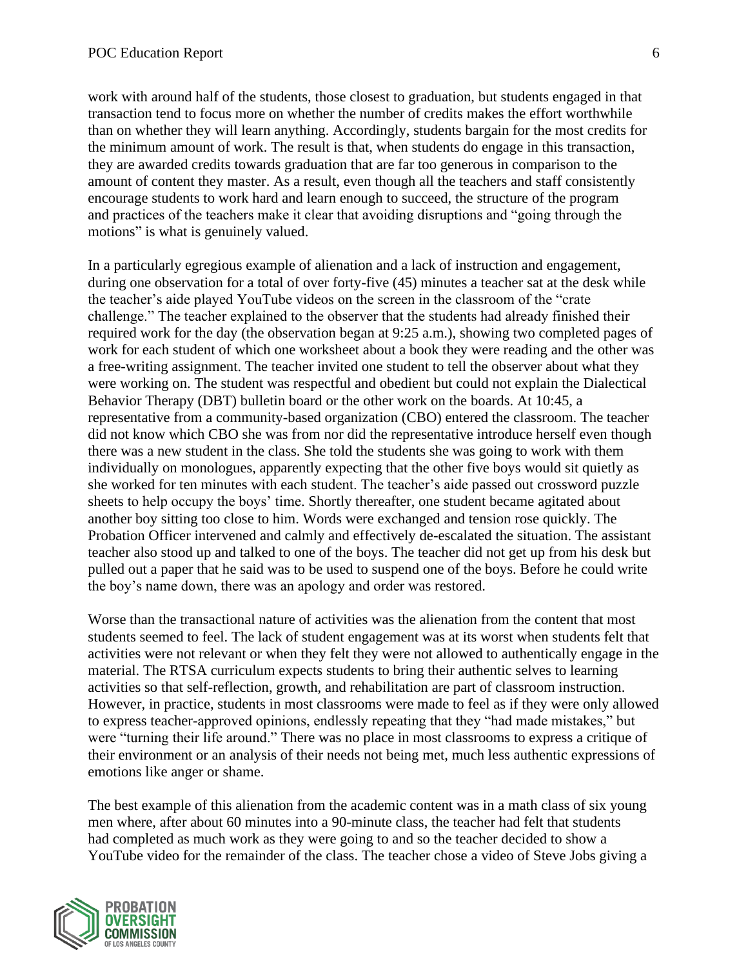work with around half of the students, those closest to graduation, but students engaged in that transaction tend to focus more on whether the number of credits makes the effort worthwhile than on whether they will learn anything. Accordingly, students bargain for the most credits for the minimum amount of work. The result is that, when students do engage in this transaction, they are awarded credits towards graduation that are far too generous in comparison to the amount of content they master. As a result, even though all the teachers and staff consistently encourage students to work hard and learn enough to succeed, the structure of the program and practices of the teachers make it clear that avoiding disruptions and "going through the motions" is what is genuinely valued.

In a particularly egregious example of alienation and a lack of instruction and engagement, during one observation for a total of over forty-five (45) minutes a teacher sat at the desk while the teacher's aide played YouTube videos on the screen in the classroom of the "crate challenge." The teacher explained to the observer that the students had already finished their required work for the day (the observation began at 9:25 a.m.), showing two completed pages of work for each student of which one worksheet about a book they were reading and the other was a free-writing assignment. The teacher invited one student to tell the observer about what they were working on. The student was respectful and obedient but could not explain the Dialectical Behavior Therapy (DBT) bulletin board or the other work on the boards. At 10:45, a representative from a community-based organization (CBO) entered the classroom. The teacher did not know which CBO she was from nor did the representative introduce herself even though there was a new student in the class. She told the students she was going to work with them individually on monologues, apparently expecting that the other five boys would sit quietly as she worked for ten minutes with each student. The teacher's aide passed out crossword puzzle sheets to help occupy the boys' time. Shortly thereafter, one student became agitated about another boy sitting too close to him. Words were exchanged and tension rose quickly. The Probation Officer intervened and calmly and effectively de-escalated the situation. The assistant teacher also stood up and talked to one of the boys. The teacher did not get up from his desk but pulled out a paper that he said was to be used to suspend one of the boys. Before he could write the boy's name down, there was an apology and order was restored.

Worse than the transactional nature of activities was the alienation from the content that most students seemed to feel. The lack of student engagement was at its worst when students felt that activities were not relevant or when they felt they were not allowed to authentically engage in the material. The RTSA curriculum expects students to bring their authentic selves to learning activities so that self-reflection, growth, and rehabilitation are part of classroom instruction. However, in practice, students in most classrooms were made to feel as if they were only allowed to express teacher-approved opinions, endlessly repeating that they "had made mistakes," but were "turning their life around." There was no place in most classrooms to express a critique of their environment or an analysis of their needs not being met, much less authentic expressions of emotions like anger or shame.

The best example of this alienation from the academic content was in a math class of six young men where, after about 60 minutes into a 90-minute class, the teacher had felt that students had completed as much work as they were going to and so the teacher decided to show a YouTube video for the remainder of the class. The teacher chose a video of Steve Jobs giving a

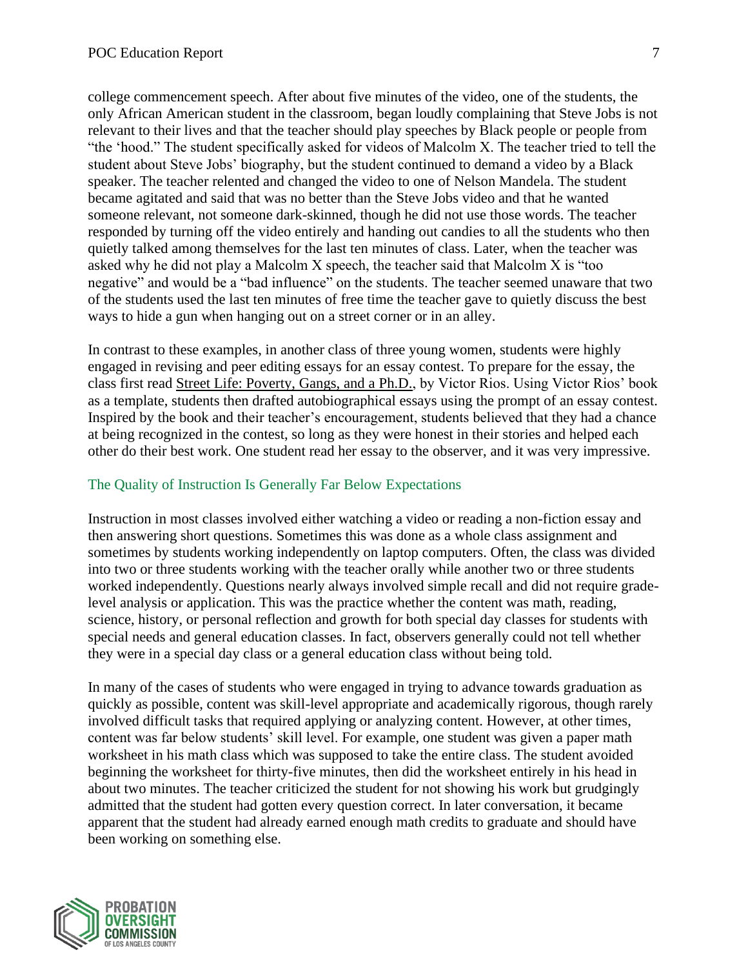college commencement speech. After about five minutes of the video, one of the students, the only African American student in the classroom, began loudly complaining that Steve Jobs is not relevant to their lives and that the teacher should play speeches by Black people or people from "the 'hood." The student specifically asked for videos of Malcolm X. The teacher tried to tell the student about Steve Jobs' biography, but the student continued to demand a video by a Black speaker. The teacher relented and changed the video to one of Nelson Mandela. The student became agitated and said that was no better than the Steve Jobs video and that he wanted someone relevant, not someone dark-skinned, though he did not use those words. The teacher responded by turning off the video entirely and handing out candies to all the students who then quietly talked among themselves for the last ten minutes of class. Later, when the teacher was asked why he did not play a Malcolm X speech, the teacher said that Malcolm X is "too negative" and would be a "bad influence" on the students. The teacher seemed unaware that two of the students used the last ten minutes of free time the teacher gave to quietly discuss the best ways to hide a gun when hanging out on a street corner or in an alley.

In contrast to these examples, in another class of three young women, students were highly engaged in revising and peer editing essays for an essay contest. To prepare for the essay, the class first read Street Life: Poverty, Gangs, and a Ph.D., by Victor Rios. Using Victor Rios' book as a template, students then drafted autobiographical essays using the prompt of an essay contest. Inspired by the book and their teacher's encouragement, students believed that they had a chance at being recognized in the contest, so long as they were honest in their stories and helped each other do their best work. One student read her essay to the observer, and it was very impressive.

## <span id="page-7-0"></span>The Quality of Instruction Is Generally Far Below Expectations

Instruction in most classes involved either watching a video or reading a non-fiction essay and then answering short questions. Sometimes this was done as a whole class assignment and sometimes by students working independently on laptop computers. Often, the class was divided into two or three students working with the teacher orally while another two or three students worked independently. Questions nearly always involved simple recall and did not require gradelevel analysis or application. This was the practice whether the content was math, reading, science, history, or personal reflection and growth for both special day classes for students with special needs and general education classes. In fact, observers generally could not tell whether they were in a special day class or a general education class without being told.

In many of the cases of students who were engaged in trying to advance towards graduation as quickly as possible, content was skill-level appropriate and academically rigorous, though rarely involved difficult tasks that required applying or analyzing content. However, at other times, content was far below students' skill level. For example, one student was given a paper math worksheet in his math class which was supposed to take the entire class. The student avoided beginning the worksheet for thirty-five minutes, then did the worksheet entirely in his head in about two minutes. The teacher criticized the student for not showing his work but grudgingly admitted that the student had gotten every question correct. In later conversation, it became apparent that the student had already earned enough math credits to graduate and should have been working on something else.

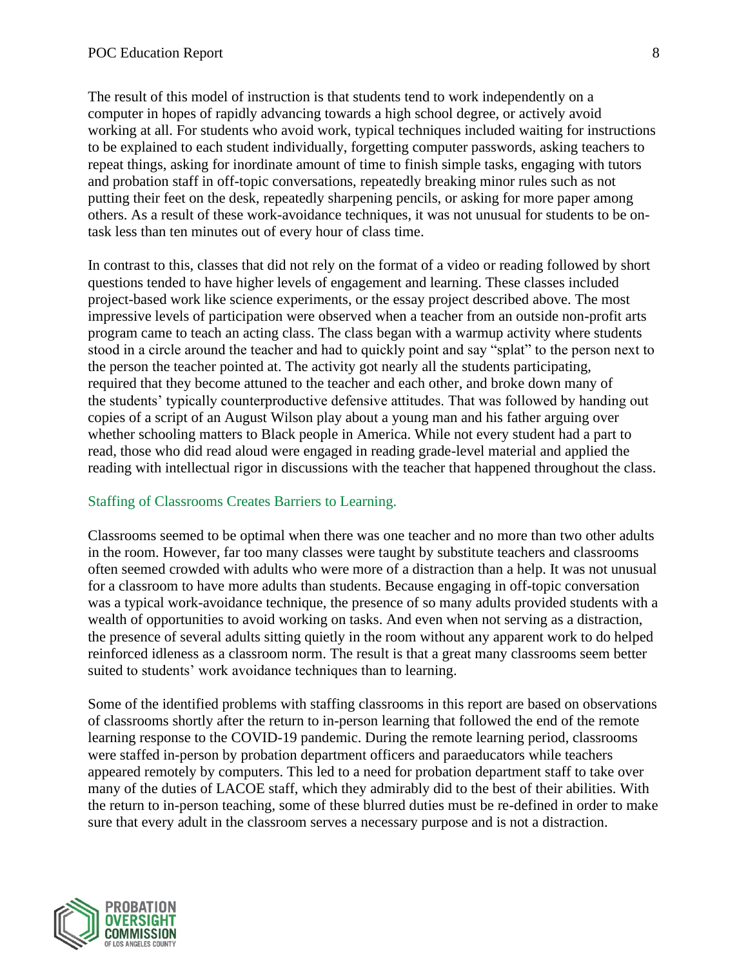The result of this model of instruction is that students tend to work independently on a computer in hopes of rapidly advancing towards a high school degree, or actively avoid working at all. For students who avoid work, typical techniques included waiting for instructions to be explained to each student individually, forgetting computer passwords, asking teachers to repeat things, asking for inordinate amount of time to finish simple tasks, engaging with tutors and probation staff in off-topic conversations, repeatedly breaking minor rules such as not putting their feet on the desk, repeatedly sharpening pencils, or asking for more paper among others. As a result of these work-avoidance techniques, it was not unusual for students to be ontask less than ten minutes out of every hour of class time.

In contrast to this, classes that did not rely on the format of a video or reading followed by short questions tended to have higher levels of engagement and learning. These classes included project-based work like science experiments, or the essay project described above. The most impressive levels of participation were observed when a teacher from an outside non-profit arts program came to teach an acting class. The class began with a warmup activity where students stood in a circle around the teacher and had to quickly point and say "splat" to the person next to the person the teacher pointed at. The activity got nearly all the students participating, required that they become attuned to the teacher and each other, and broke down many of the students' typically counterproductive defensive attitudes. That was followed by handing out copies of a script of an August Wilson play about a young man and his father arguing over whether schooling matters to Black people in America. While not every student had a part to read, those who did read aloud were engaged in reading grade-level material and applied the reading with intellectual rigor in discussions with the teacher that happened throughout the class.

## <span id="page-8-0"></span>Staffing of Classrooms Creates Barriers to Learning.

Classrooms seemed to be optimal when there was one teacher and no more than two other adults in the room. However, far too many classes were taught by substitute teachers and classrooms often seemed crowded with adults who were more of a distraction than a help. It was not unusual for a classroom to have more adults than students. Because engaging in off-topic conversation was a typical work-avoidance technique, the presence of so many adults provided students with a wealth of opportunities to avoid working on tasks. And even when not serving as a distraction, the presence of several adults sitting quietly in the room without any apparent work to do helped reinforced idleness as a classroom norm. The result is that a great many classrooms seem better suited to students' work avoidance techniques than to learning.

Some of the identified problems with staffing classrooms in this report are based on observations of classrooms shortly after the return to in-person learning that followed the end of the remote learning response to the COVID-19 pandemic. During the remote learning period, classrooms were staffed in-person by probation department officers and paraeducators while teachers appeared remotely by computers. This led to a need for probation department staff to take over many of the duties of LACOE staff, which they admirably did to the best of their abilities. With the return to in-person teaching, some of these blurred duties must be re-defined in order to make sure that every adult in the classroom serves a necessary purpose and is not a distraction.

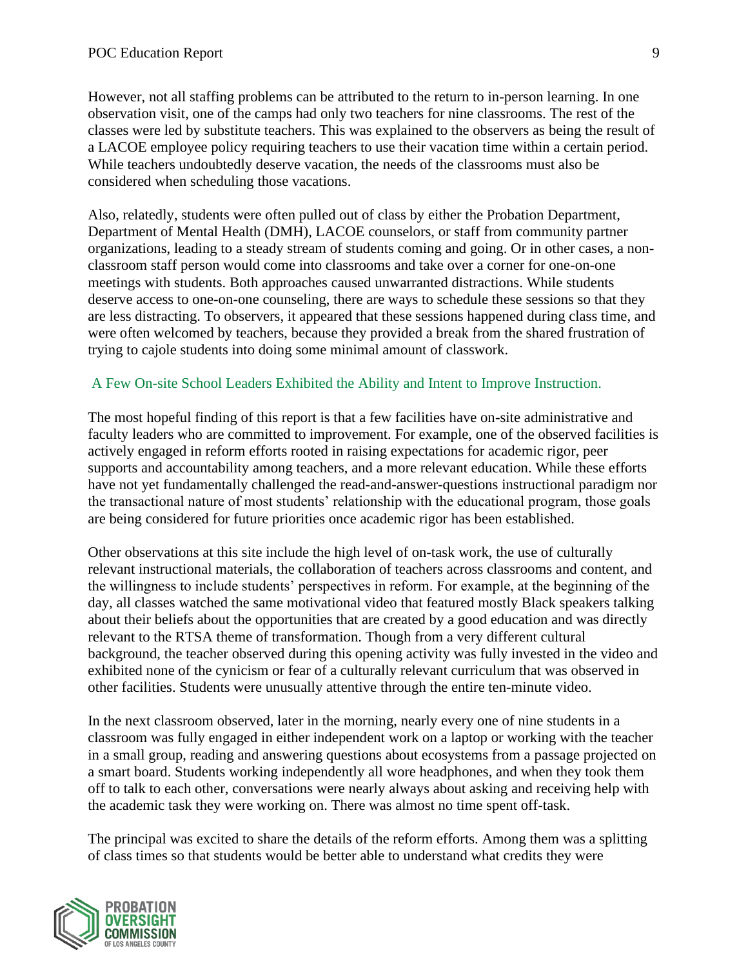However, not all staffing problems can be attributed to the return to in-person learning. In one observation visit, one of the camps had only two teachers for nine classrooms. The rest of the classes were led by substitute teachers. This was explained to the observers as being the result of a LACOE employee policy requiring teachers to use their vacation time within a certain period. While teachers undoubtedly deserve vacation, the needs of the classrooms must also be considered when scheduling those vacations.

Also, relatedly, students were often pulled out of class by either the Probation Department, Department of Mental Health (DMH), LACOE counselors, or staff from community partner organizations, leading to a steady stream of students coming and going. Or in other cases, a nonclassroom staff person would come into classrooms and take over a corner for one-on-one meetings with students. Both approaches caused unwarranted distractions. While students deserve access to one-on-one counseling, there are ways to schedule these sessions so that they are less distracting. To observers, it appeared that these sessions happened during class time, and were often welcomed by teachers, because they provided a break from the shared frustration of trying to cajole students into doing some minimal amount of classwork.

## <span id="page-9-0"></span>A Few On-site School Leaders Exhibited the Ability and Intent to Improve Instruction.

The most hopeful finding of this report is that a few facilities have on-site administrative and faculty leaders who are committed to improvement. For example, one of the observed facilities is actively engaged in reform efforts rooted in raising expectations for academic rigor, peer supports and accountability among teachers, and a more relevant education. While these efforts have not yet fundamentally challenged the read-and-answer-questions instructional paradigm nor the transactional nature of most students' relationship with the educational program, those goals are being considered for future priorities once academic rigor has been established.

Other observations at this site include the high level of on-task work, the use of culturally relevant instructional materials, the collaboration of teachers across classrooms and content, and the willingness to include students' perspectives in reform. For example, at the beginning of the day, all classes watched the same motivational video that featured mostly Black speakers talking about their beliefs about the opportunities that are created by a good education and was directly relevant to the RTSA theme of transformation. Though from a very different cultural background, the teacher observed during this opening activity was fully invested in the video and exhibited none of the cynicism or fear of a culturally relevant curriculum that was observed in other facilities. Students were unusually attentive through the entire ten-minute video.

In the next classroom observed, later in the morning, nearly every one of nine students in a classroom was fully engaged in either independent work on a laptop or working with the teacher in a small group, reading and answering questions about ecosystems from a passage projected on a smart board. Students working independently all wore headphones, and when they took them off to talk to each other, conversations were nearly always about asking and receiving help with the academic task they were working on. There was almost no time spent off-task.

The principal was excited to share the details of the reform efforts. Among them was a splitting of class times so that students would be better able to understand what credits they were

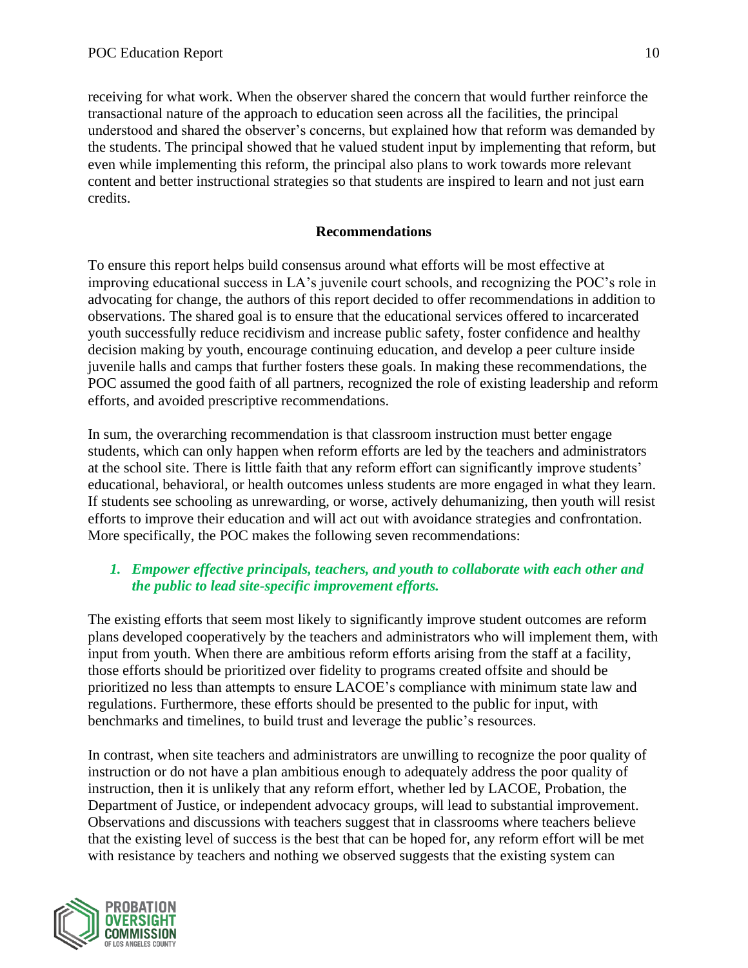receiving for what work. When the observer shared the concern that would further reinforce the transactional nature of the approach to education seen across all the facilities, the principal understood and shared the observer's concerns, but explained how that reform was demanded by the students. The principal showed that he valued student input by implementing that reform, but even while implementing this reform, the principal also plans to work towards more relevant content and better instructional strategies so that students are inspired to learn and not just earn credits.

# **Recommendations**

<span id="page-10-0"></span>To ensure this report helps build consensus around what efforts will be most effective at improving educational success in LA's juvenile court schools, and recognizing the POC's role in advocating for change, the authors of this report decided to offer recommendations in addition to observations. The shared goal is to ensure that the educational services offered to incarcerated youth successfully reduce recidivism and increase public safety, foster confidence and healthy decision making by youth, encourage continuing education, and develop a peer culture inside juvenile halls and camps that further fosters these goals. In making these recommendations, the POC assumed the good faith of all partners, recognized the role of existing leadership and reform efforts, and avoided prescriptive recommendations.

In sum, the overarching recommendation is that classroom instruction must better engage students, which can only happen when reform efforts are led by the teachers and administrators at the school site. There is little faith that any reform effort can significantly improve students' educational, behavioral, or health outcomes unless students are more engaged in what they learn. If students see schooling as unrewarding, or worse, actively dehumanizing, then youth will resist efforts to improve their education and will act out with avoidance strategies and confrontation. More specifically, the POC makes the following seven recommendations:

# <span id="page-10-1"></span>*1. Empower effective principals, teachers, and youth to collaborate with each other and the public to lead site-specific improvement efforts.*

The existing efforts that seem most likely to significantly improve student outcomes are reform plans developed cooperatively by the teachers and administrators who will implement them, with input from youth. When there are ambitious reform efforts arising from the staff at a facility, those efforts should be prioritized over fidelity to programs created offsite and should be prioritized no less than attempts to ensure LACOE's compliance with minimum state law and regulations. Furthermore, these efforts should be presented to the public for input, with benchmarks and timelines, to build trust and leverage the public's resources.

In contrast, when site teachers and administrators are unwilling to recognize the poor quality of instruction or do not have a plan ambitious enough to adequately address the poor quality of instruction, then it is unlikely that any reform effort, whether led by LACOE, Probation, the Department of Justice, or independent advocacy groups, will lead to substantial improvement. Observations and discussions with teachers suggest that in classrooms where teachers believe that the existing level of success is the best that can be hoped for, any reform effort will be met with resistance by teachers and nothing we observed suggests that the existing system can

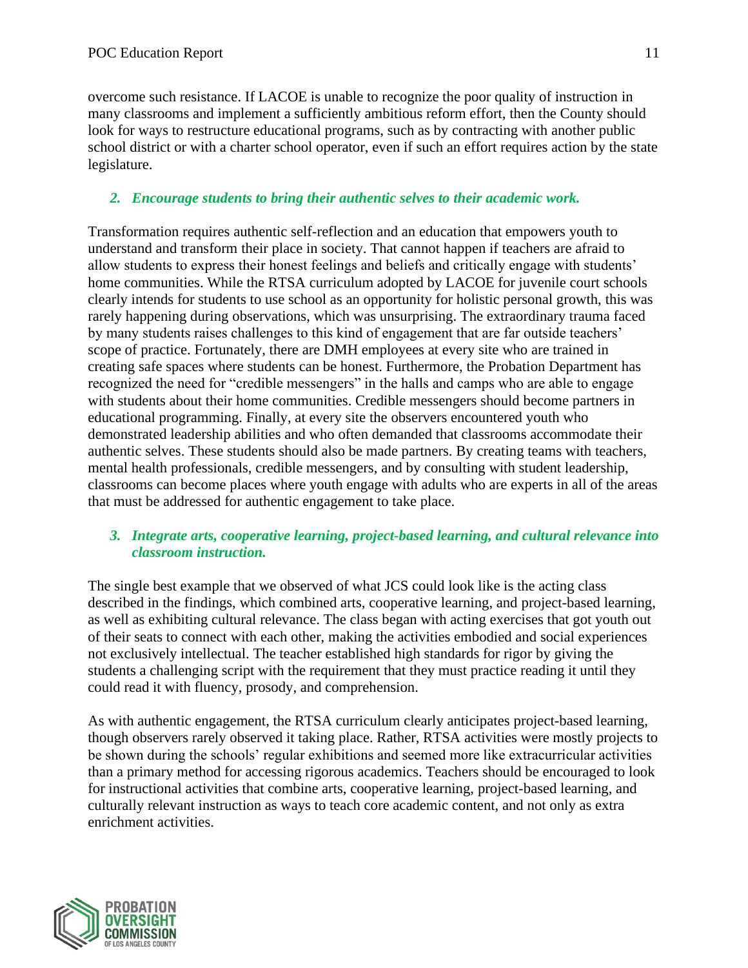overcome such resistance. If LACOE is unable to recognize the poor quality of instruction in many classrooms and implement a sufficiently ambitious reform effort, then the County should look for ways to restructure educational programs, such as by contracting with another public school district or with a charter school operator, even if such an effort requires action by the state legislature.

# <span id="page-11-0"></span>*2. Encourage students to bring their authentic selves to their academic work.*

Transformation requires authentic self-reflection and an education that empowers youth to understand and transform their place in society. That cannot happen if teachers are afraid to allow students to express their honest feelings and beliefs and critically engage with students' home communities. While the RTSA curriculum adopted by LACOE for juvenile court schools clearly intends for students to use school as an opportunity for holistic personal growth, this was rarely happening during observations, which was unsurprising. The extraordinary trauma faced by many students raises challenges to this kind of engagement that are far outside teachers' scope of practice. Fortunately, there are DMH employees at every site who are trained in creating safe spaces where students can be honest. Furthermore, the Probation Department has recognized the need for "credible messengers" in the halls and camps who are able to engage with students about their home communities. Credible messengers should become partners in educational programming. Finally, at every site the observers encountered youth who demonstrated leadership abilities and who often demanded that classrooms accommodate their authentic selves. These students should also be made partners. By creating teams with teachers, mental health professionals, credible messengers, and by consulting with student leadership, classrooms can become places where youth engage with adults who are experts in all of the areas that must be addressed for authentic engagement to take place.

# <span id="page-11-1"></span>*3. Integrate arts, cooperative learning, project-based learning, and cultural relevance into classroom instruction.*

The single best example that we observed of what JCS could look like is the acting class described in the findings, which combined arts, cooperative learning, and project-based learning, as well as exhibiting cultural relevance. The class began with acting exercises that got youth out of their seats to connect with each other, making the activities embodied and social experiences not exclusively intellectual. The teacher established high standards for rigor by giving the students a challenging script with the requirement that they must practice reading it until they could read it with fluency, prosody, and comprehension.

As with authentic engagement, the RTSA curriculum clearly anticipates project-based learning, though observers rarely observed it taking place. Rather, RTSA activities were mostly projects to be shown during the schools' regular exhibitions and seemed more like extracurricular activities than a primary method for accessing rigorous academics. Teachers should be encouraged to look for instructional activities that combine arts, cooperative learning, project-based learning, and culturally relevant instruction as ways to teach core academic content, and not only as extra enrichment activities.

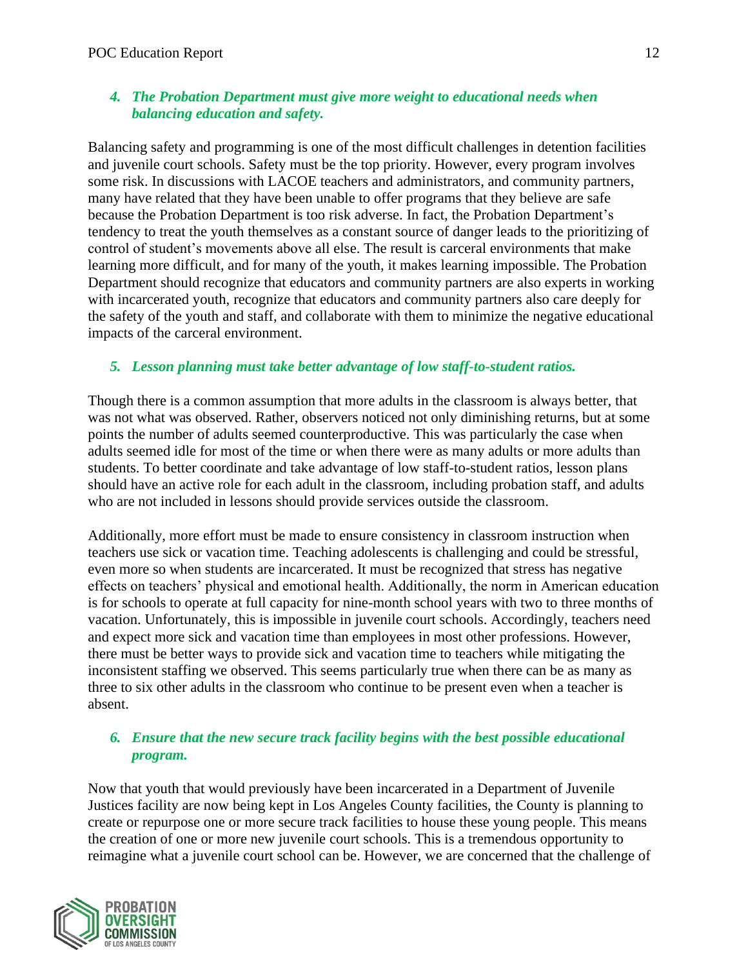# <span id="page-12-0"></span>*4. The Probation Department must give more weight to educational needs when balancing education and safety.*

Balancing safety and programming is one of the most difficult challenges in detention facilities and juvenile court schools. Safety must be the top priority. However, every program involves some risk. In discussions with LACOE teachers and administrators, and community partners, many have related that they have been unable to offer programs that they believe are safe because the Probation Department is too risk adverse. In fact, the Probation Department's tendency to treat the youth themselves as a constant source of danger leads to the prioritizing of control of student's movements above all else. The result is carceral environments that make learning more difficult, and for many of the youth, it makes learning impossible. The Probation Department should recognize that educators and community partners are also experts in working with incarcerated youth, recognize that educators and community partners also care deeply for the safety of the youth and staff, and collaborate with them to minimize the negative educational impacts of the carceral environment.

# <span id="page-12-1"></span>*5. Lesson planning must take better advantage of low staff-to-student ratios.*

Though there is a common assumption that more adults in the classroom is always better, that was not what was observed. Rather, observers noticed not only diminishing returns, but at some points the number of adults seemed counterproductive. This was particularly the case when adults seemed idle for most of the time or when there were as many adults or more adults than students. To better coordinate and take advantage of low staff-to-student ratios, lesson plans should have an active role for each adult in the classroom, including probation staff, and adults who are not included in lessons should provide services outside the classroom.

Additionally, more effort must be made to ensure consistency in classroom instruction when teachers use sick or vacation time. Teaching adolescents is challenging and could be stressful, even more so when students are incarcerated. It must be recognized that stress has negative effects on teachers' physical and emotional health. Additionally, the norm in American education is for schools to operate at full capacity for nine-month school years with two to three months of vacation. Unfortunately, this is impossible in juvenile court schools. Accordingly, teachers need and expect more sick and vacation time than employees in most other professions. However, there must be better ways to provide sick and vacation time to teachers while mitigating the inconsistent staffing we observed. This seems particularly true when there can be as many as three to six other adults in the classroom who continue to be present even when a teacher is absent.

# <span id="page-12-2"></span>*6. Ensure that the new secure track facility begins with the best possible educational program.*

Now that youth that would previously have been incarcerated in a Department of Juvenile Justices facility are now being kept in Los Angeles County facilities, the County is planning to create or repurpose one or more secure track facilities to house these young people. This means the creation of one or more new juvenile court schools. This is a tremendous opportunity to reimagine what a juvenile court school can be. However, we are concerned that the challenge of